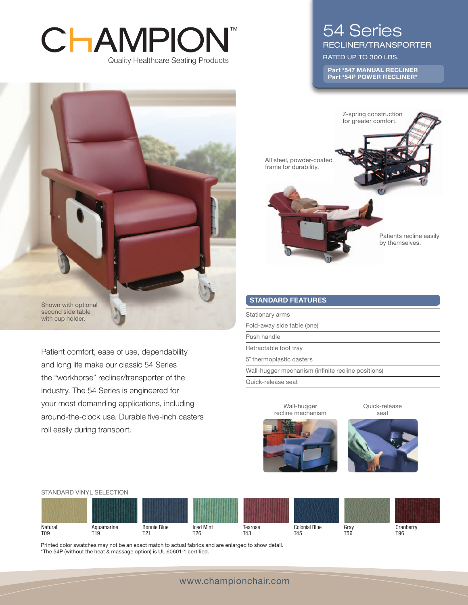# ™CHAMPION Quality Healthcare Seating Products



Patient comfort, ease of use, dependability and long life make our classic 54 Series the "workhorse" recliner/transporter of the industry. The 54 Series is engineered for your most demanding applications, including around-the-clock use. Durable five-inch casters roll easily during transport.

# 54 Series

Recliner/Transporter

RATED UP TO 300 LBS.

Part #547 MANUAL RECLINER Part #54P POWER RECLINER\*



# STANDARD FEATURES

Stationary arms

Fold-away side table (one)

Push handle

Retractable foot tray

5˝ thermoplastic casters

Wall-hugger mechanism (infinite recline positions)

Quick-release seat

Quick-release seat



Wall-hugger



Printed color swatches may not be an exact match to actual fabrics and are enlarged to show detail. \*The 54P (without the heat & massage option) is UL 60601-1 certified.